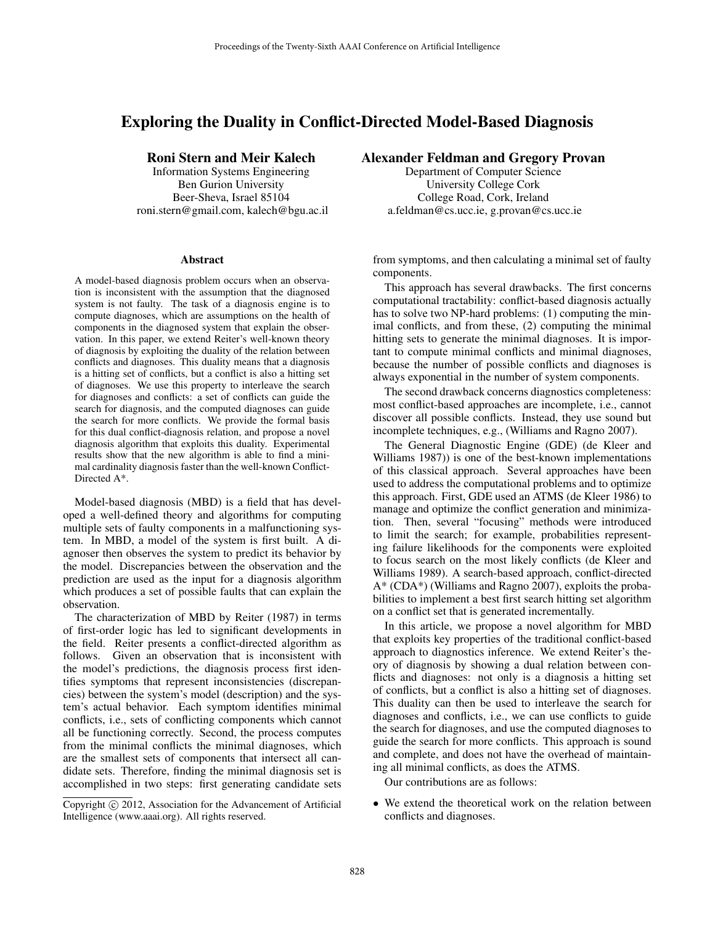# Exploring the Duality in Conflict-Directed Model-Based Diagnosis

# Roni Stern and Meir Kalech

Information Systems Engineering Ben Gurion University Beer-Sheva, Israel 85104 roni.stern@gmail.com, kalech@bgu.ac.il

#### Abstract

A model-based diagnosis problem occurs when an observation is inconsistent with the assumption that the diagnosed system is not faulty. The task of a diagnosis engine is to compute diagnoses, which are assumptions on the health of components in the diagnosed system that explain the observation. In this paper, we extend Reiter's well-known theory of diagnosis by exploiting the duality of the relation between conflicts and diagnoses. This duality means that a diagnosis is a hitting set of conflicts, but a conflict is also a hitting set of diagnoses. We use this property to interleave the search for diagnoses and conflicts: a set of conflicts can guide the search for diagnosis, and the computed diagnoses can guide the search for more conflicts. We provide the formal basis for this dual conflict-diagnosis relation, and propose a novel diagnosis algorithm that exploits this duality. Experimental results show that the new algorithm is able to find a minimal cardinality diagnosis faster than the well-known Conflict-Directed A\*.

Model-based diagnosis (MBD) is a field that has developed a well-defined theory and algorithms for computing multiple sets of faulty components in a malfunctioning system. In MBD, a model of the system is first built. A diagnoser then observes the system to predict its behavior by the model. Discrepancies between the observation and the prediction are used as the input for a diagnosis algorithm which produces a set of possible faults that can explain the observation.

The characterization of MBD by Reiter (1987) in terms of first-order logic has led to significant developments in the field. Reiter presents a conflict-directed algorithm as follows. Given an observation that is inconsistent with the model's predictions, the diagnosis process first identifies symptoms that represent inconsistencies (discrepancies) between the system's model (description) and the system's actual behavior. Each symptom identifies minimal conflicts, i.e., sets of conflicting components which cannot all be functioning correctly. Second, the process computes from the minimal conflicts the minimal diagnoses, which are the smallest sets of components that intersect all candidate sets. Therefore, finding the minimal diagnosis set is accomplished in two steps: first generating candidate sets

# Alexander Feldman and Gregory Provan

Department of Computer Science University College Cork College Road, Cork, Ireland a.feldman@cs.ucc.ie, g.provan@cs.ucc.ie

from symptoms, and then calculating a minimal set of faulty components.

This approach has several drawbacks. The first concerns computational tractability: conflict-based diagnosis actually has to solve two NP-hard problems: (1) computing the minimal conflicts, and from these, (2) computing the minimal hitting sets to generate the minimal diagnoses. It is important to compute minimal conflicts and minimal diagnoses, because the number of possible conflicts and diagnoses is always exponential in the number of system components.

The second drawback concerns diagnostics completeness: most conflict-based approaches are incomplete, i.e., cannot discover all possible conflicts. Instead, they use sound but incomplete techniques, e.g., (Williams and Ragno 2007).

The General Diagnostic Engine (GDE) (de Kleer and Williams 1987)) is one of the best-known implementations of this classical approach. Several approaches have been used to address the computational problems and to optimize this approach. First, GDE used an ATMS (de Kleer 1986) to manage and optimize the conflict generation and minimization. Then, several "focusing" methods were introduced to limit the search; for example, probabilities representing failure likelihoods for the components were exploited to focus search on the most likely conflicts (de Kleer and Williams 1989). A search-based approach, conflict-directed A\* (CDA\*) (Williams and Ragno 2007), exploits the probabilities to implement a best first search hitting set algorithm on a conflict set that is generated incrementally.

In this article, we propose a novel algorithm for MBD that exploits key properties of the traditional conflict-based approach to diagnostics inference. We extend Reiter's theory of diagnosis by showing a dual relation between conflicts and diagnoses: not only is a diagnosis a hitting set of conflicts, but a conflict is also a hitting set of diagnoses. This duality can then be used to interleave the search for diagnoses and conflicts, i.e., we can use conflicts to guide the search for diagnoses, and use the computed diagnoses to guide the search for more conflicts. This approach is sound and complete, and does not have the overhead of maintaining all minimal conflicts, as does the ATMS.

Our contributions are as follows:

• We extend the theoretical work on the relation between conflicts and diagnoses.

Copyright (c) 2012, Association for the Advancement of Artificial Intelligence (www.aaai.org). All rights reserved.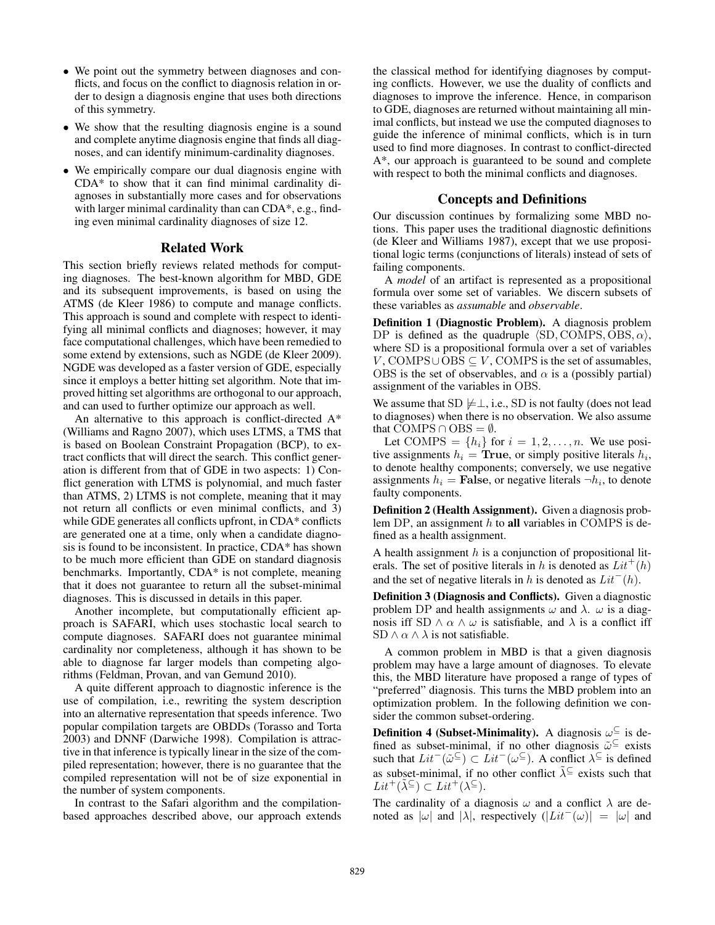- We point out the symmetry between diagnoses and conflicts, and focus on the conflict to diagnosis relation in order to design a diagnosis engine that uses both directions of this symmetry.
- We show that the resulting diagnosis engine is a sound and complete anytime diagnosis engine that finds all diagnoses, and can identify minimum-cardinality diagnoses.
- We empirically compare our dual diagnosis engine with CDA\* to show that it can find minimal cardinality diagnoses in substantially more cases and for observations with larger minimal cardinality than can CDA\*, e.g., finding even minimal cardinality diagnoses of size 12.

#### Related Work

This section briefly reviews related methods for computing diagnoses. The best-known algorithm for MBD, GDE and its subsequent improvements, is based on using the ATMS (de Kleer 1986) to compute and manage conflicts. This approach is sound and complete with respect to identifying all minimal conflicts and diagnoses; however, it may face computational challenges, which have been remedied to some extend by extensions, such as NGDE (de Kleer 2009). NGDE was developed as a faster version of GDE, especially since it employs a better hitting set algorithm. Note that improved hitting set algorithms are orthogonal to our approach, and can used to further optimize our approach as well.

An alternative to this approach is conflict-directed  $A^*$ (Williams and Ragno 2007), which uses LTMS, a TMS that is based on Boolean Constraint Propagation (BCP), to extract conflicts that will direct the search. This conflict generation is different from that of GDE in two aspects: 1) Conflict generation with LTMS is polynomial, and much faster than ATMS, 2) LTMS is not complete, meaning that it may not return all conflicts or even minimal conflicts, and 3) while GDE generates all conflicts upfront, in CDA\* conflicts are generated one at a time, only when a candidate diagnosis is found to be inconsistent. In practice, CDA\* has shown to be much more efficient than GDE on standard diagnosis benchmarks. Importantly, CDA\* is not complete, meaning that it does not guarantee to return all the subset-minimal diagnoses. This is discussed in details in this paper.

Another incomplete, but computationally efficient approach is SAFARI, which uses stochastic local search to compute diagnoses. SAFARI does not guarantee minimal cardinality nor completeness, although it has shown to be able to diagnose far larger models than competing algorithms (Feldman, Provan, and van Gemund 2010).

A quite different approach to diagnostic inference is the use of compilation, i.e., rewriting the system description into an alternative representation that speeds inference. Two popular compilation targets are OBDDs (Torasso and Torta 2003) and DNNF (Darwiche 1998). Compilation is attractive in that inference is typically linear in the size of the compiled representation; however, there is no guarantee that the compiled representation will not be of size exponential in the number of system components.

In contrast to the Safari algorithm and the compilationbased approaches described above, our approach extends the classical method for identifying diagnoses by computing conflicts. However, we use the duality of conflicts and diagnoses to improve the inference. Hence, in comparison to GDE, diagnoses are returned without maintaining all minimal conflicts, but instead we use the computed diagnoses to guide the inference of minimal conflicts, which is in turn used to find more diagnoses. In contrast to conflict-directed A\*, our approach is guaranteed to be sound and complete with respect to both the minimal conflicts and diagnoses.

## Concepts and Definitions

Our discussion continues by formalizing some MBD notions. This paper uses the traditional diagnostic definitions (de Kleer and Williams 1987), except that we use propositional logic terms (conjunctions of literals) instead of sets of failing components.

A *model* of an artifact is represented as a propositional formula over some set of variables. We discern subsets of these variables as *assumable* and *observable*.

Definition 1 (Diagnostic Problem). A diagnosis problem DP is defined as the quadruple  $\langle SD, COMPS, OBS, \alpha \rangle$ , where SD is a propositional formula over a set of variables  $V$ , COMPS∪OBS  $\subseteq$   $V$ , COMPS is the set of assumables, OBS is the set of observables, and  $\alpha$  is a (possibly partial) assignment of the variables in OBS.

We assume that  $SD \not\models \perp$ , i.e., SD is not faulty (does not lead to diagnoses) when there is no observation. We also assume that COMPS  $\cap$  OBS =  $\emptyset$ .

Let COMPS =  $\{h_i\}$  for  $i = 1, 2, \ldots, n$ . We use positive assignments  $h_i = \textbf{True}$ , or simply positive literals  $h_i$ , to denote healthy components; conversely, we use negative assignments  $h_i =$  False, or negative literals  $\neg h_i$ , to denote faulty components.

Definition 2 (Health Assignment). Given a diagnosis problem DP, an assignment  $h$  to all variables in COMPS is defined as a health assignment.

A health assignment  $h$  is a conjunction of propositional literals. The set of positive literals in h is denoted as  $Lit^+(h)$ and the set of negative literals in h is denoted as  $Lit<sup>-</sup>(h)$ .

Definition 3 (Diagnosis and Conflicts). Given a diagnostic problem DP and health assignments  $\omega$  and  $\lambda$ .  $\omega$  is a diagnosis iff SD  $\land \alpha \land \omega$  is satisfiable, and  $\lambda$  is a conflict iff SD  $\land$   $\alpha$   $\land$   $\lambda$  is not satisfiable.

A common problem in MBD is that a given diagnosis problem may have a large amount of diagnoses. To elevate this, the MBD literature have proposed a range of types of "preferred" diagnosis. This turns the MBD problem into an optimization problem. In the following definition we consider the common subset-ordering.

**Definition 4 (Subset-Minimality).** A diagnosis  $\omega^{\subseteq}$  is defined as subset-minimal, if no other diagnosis  $\tilde{\omega}^{\subseteq}$  exists such that  $Lit^-(\tilde{\omega}^{\subseteq}) \subset Lit^-(\omega^{\subseteq})$ . A conflict  $\lambda^{\subseteq}$  is defined as subset-minimal, if no other conflict  $\tilde{\lambda} \subseteq$  exists such that  $Lit^+(\tilde{\lambda}^{\subseteq}) \subset Lit^+(\lambda^{\subseteq}).$ 

The cardinality of a diagnosis  $\omega$  and a conflict  $\lambda$  are denoted as  $|\omega|$  and  $|\lambda|$ , respectively  $(|Lit^{-}(\omega)| = |\omega|$  and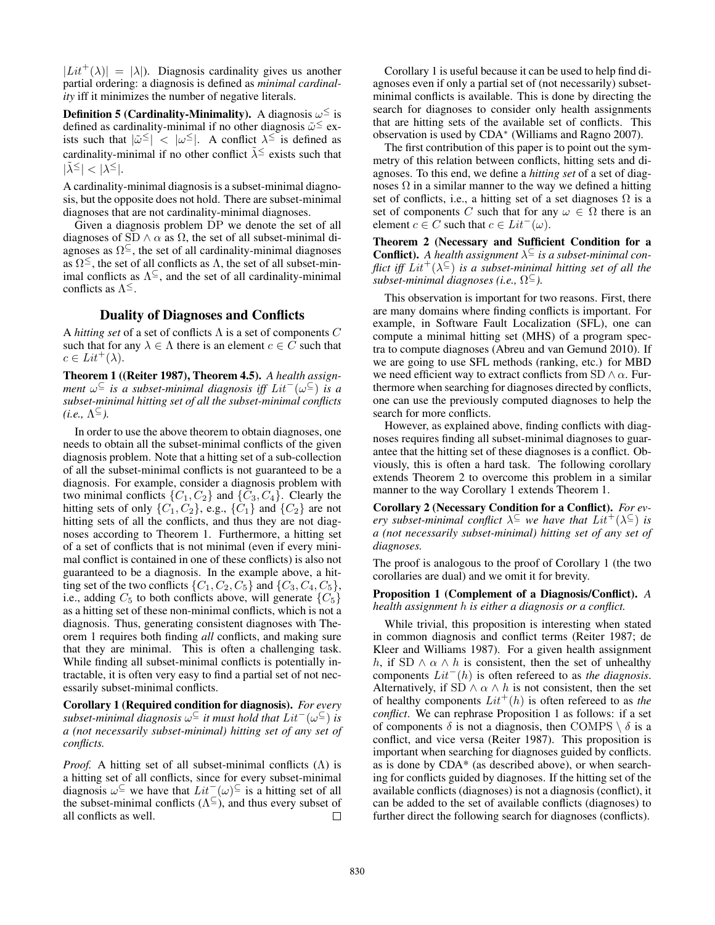$|Lit^+(\lambda)| = |\lambda|$ . Diagnosis cardinality gives us another partial ordering: a diagnosis is defined as *minimal cardinality* iff it minimizes the number of negative literals.

**Definition 5 (Cardinality-Minimality).** A diagnosis  $\omega^{\leq}$  is defined as cardinality-minimal if no other diagnosis  $\tilde{\omega} \leq$  exists such that  $|\tilde{\omega}^{\leq}| < |\omega^{\leq}|$ . A conflict  $\lambda^{\leq}$  is defined as cardinality-minimal if no other conflict  $\tilde{\lambda} \leq$  exists such that  $|\tilde{\lambda}^{\leq}| < |\lambda^{\leq}|.$ 

A cardinality-minimal diagnosis is a subset-minimal diagnosis, but the opposite does not hold. There are subset-minimal diagnoses that are not cardinality-minimal diagnoses.

Given a diagnosis problem DP we denote the set of all diagnoses of SD  $\land \alpha$  as  $\Omega$ , the set of all subset-minimal diagnoses as  $\Omega^{\subseteq}$ , the set of all cardinality-minimal diagnoses as  $\Omega^{\leq}$ , the set of all conflicts as  $\Lambda$ , the set of all subset-minimal conflicts as  $\Lambda^{\subseteq}$ , and the set of all cardinality-minimal conflicts as  $\Lambda^{\leq}$ .

# Duality of Diagnoses and Conflicts

A *hitting set* of a set of conflicts Λ is a set of components C such that for any  $\lambda \in \Lambda$  there is an element  $c \in C$  such that  $c \in Lit^+(\lambda)$ .

Theorem 1 ((Reiter 1987), Theorem 4.5). *A health assignment* ω <sup>⊆</sup> *is a subset-minimal diagnosis iff* Lit<sup>−</sup>(ω <sup>⊆</sup>) *is a subset-minimal hitting set of all the subset-minimal conflicts*  $(i.e., \Lambda^{\subseteq}).$ 

In order to use the above theorem to obtain diagnoses, one needs to obtain all the subset-minimal conflicts of the given diagnosis problem. Note that a hitting set of a sub-collection of all the subset-minimal conflicts is not guaranteed to be a diagnosis. For example, consider a diagnosis problem with two minimal conflicts  $\{C_1, C_2\}$  and  $\{C_3, C_4\}$ . Clearly the hitting sets of only  $\{C_1, C_2\}$ , e.g.,  $\{C_1\}$  and  $\{C_2\}$  are not hitting sets of all the conflicts, and thus they are not diagnoses according to Theorem 1. Furthermore, a hitting set of a set of conflicts that is not minimal (even if every minimal conflict is contained in one of these conflicts) is also not guaranteed to be a diagnosis. In the example above, a hitting set of the two conflicts  $\{C_1, C_2, C_5\}$  and  $\{C_3, C_4, C_5\}$ , i.e., adding  $C_5$  to both conflicts above, will generate  $\{C_5\}$ as a hitting set of these non-minimal conflicts, which is not a diagnosis. Thus, generating consistent diagnoses with Theorem 1 requires both finding *all* conflicts, and making sure that they are minimal. This is often a challenging task. While finding all subset-minimal conflicts is potentially intractable, it is often very easy to find a partial set of not necessarily subset-minimal conflicts.

Corollary 1 (Required condition for diagnosis). *For every subset-minimal diagnosis* ω <sup>⊆</sup> *it must hold that* Lit<sup>−</sup>(ω <sup>⊆</sup>) *is a (not necessarily subset-minimal) hitting set of any set of conflicts.*

*Proof.* A hitting set of all subset-minimal conflicts (Λ) is a hitting set of all conflicts, since for every subset-minimal diagnosis  $\omega^{\subseteq}$  we have that  $Lit^-(\omega)^{\subseteq}$  is a hitting set of all the subset-minimal conflicts  $(\Lambda^{\subseteq})$ , and thus every subset of all conflicts as well. П

Corollary 1 is useful because it can be used to help find diagnoses even if only a partial set of (not necessarily) subsetminimal conflicts is available. This is done by directing the search for diagnoses to consider only health assignments that are hitting sets of the available set of conflicts. This observation is used by CDA<sup>∗</sup> (Williams and Ragno 2007).

The first contribution of this paper is to point out the symmetry of this relation between conflicts, hitting sets and diagnoses. To this end, we define a *hitting set* of a set of diagnoses  $\Omega$  in a similar manner to the way we defined a hitting set of conflicts, i.e., a hitting set of a set diagnoses  $\Omega$  is a set of components C such that for any  $\omega \in \Omega$  there is an element  $c \in C$  such that  $c \in Lit^{-}(\omega)$ .

Theorem 2 (Necessary and Sufficient Condition for a **Conflict).** A health assignment  $\lambda^{\subseteq}$  is a subset-minimal con*flict iff*  $Lit^+(\lambda^{\subseteq})$  *is a subset-minimal hitting set of all the subset-minimal diagnoses (i.e.,* Ω <sup>⊆</sup>*).*

This observation is important for two reasons. First, there are many domains where finding conflicts is important. For example, in Software Fault Localization (SFL), one can compute a minimal hitting set (MHS) of a program spectra to compute diagnoses (Abreu and van Gemund 2010). If we are going to use SFL methods (ranking, etc.) for MBD we need efficient way to extract conflicts from SD  $\land \alpha$ . Furthermore when searching for diagnoses directed by conflicts, one can use the previously computed diagnoses to help the search for more conflicts.

However, as explained above, finding conflicts with diagnoses requires finding all subset-minimal diagnoses to guarantee that the hitting set of these diagnoses is a conflict. Obviously, this is often a hard task. The following corollary extends Theorem 2 to overcome this problem in a similar manner to the way Corollary 1 extends Theorem 1.

Corollary 2 (Necessary Condition for a Conflict). *For every subset-minimal conflict*  $\lambda^{\subseteq}$  *we have that*  $Lit^+(\lambda^{\subseteq})$  *is a (not necessarily subset-minimal) hitting set of any set of diagnoses.*

The proof is analogous to the proof of Corollary 1 (the two corollaries are dual) and we omit it for brevity.

Proposition 1 (Complement of a Diagnosis/Conflict). *A health assignment* h *is either a diagnosis or a conflict.*

While trivial, this proposition is interesting when stated in common diagnosis and conflict terms (Reiter 1987; de Kleer and Williams 1987). For a given health assignment h, if SD  $\wedge \alpha \wedge h$  is consistent, then the set of unhealthy components Lit<sup>−</sup>(h) is often refereed to as *the diagnosis*. Alternatively, if SD  $\land \alpha \land h$  is not consistent, then the set of healthy components  $Lit^+(h)$  is often refereed to as *the conflict*. We can rephrase Proposition 1 as follows: if a set of components  $\delta$  is not a diagnosis, then COMPS  $\setminus \delta$  is a conflict, and vice versa (Reiter 1987). This proposition is important when searching for diagnoses guided by conflicts. as is done by CDA\* (as described above), or when searching for conflicts guided by diagnoses. If the hitting set of the available conflicts (diagnoses) is not a diagnosis (conflict), it can be added to the set of available conflicts (diagnoses) to further direct the following search for diagnoses (conflicts).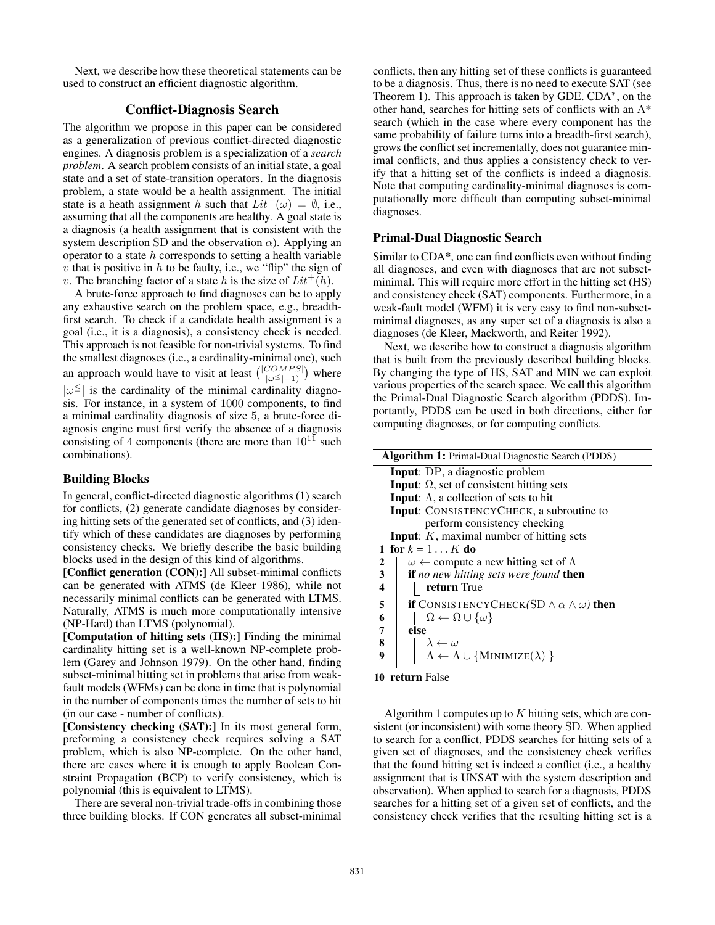Next, we describe how these theoretical statements can be used to construct an efficient diagnostic algorithm.

## Conflict-Diagnosis Search

The algorithm we propose in this paper can be considered as a generalization of previous conflict-directed diagnostic engines. A diagnosis problem is a specialization of a *search problem*. A search problem consists of an initial state, a goal state and a set of state-transition operators. In the diagnosis problem, a state would be a health assignment. The initial state is a heath assignment h such that  $Lit<sup>-</sup>(\omega) = \emptyset$ , i.e., assuming that all the components are healthy. A goal state is a diagnosis (a health assignment that is consistent with the system description SD and the observation  $\alpha$ ). Applying an operator to a state  $h$  corresponds to setting a health variable v that is positive in  $h$  to be faulty, i.e., we "flip" the sign of v. The branching factor of a state h is the size of  $Lit^+(h)$ .

A brute-force approach to find diagnoses can be to apply any exhaustive search on the problem space, e.g., breadthfirst search. To check if a candidate health assignment is a goal (i.e., it is a diagnosis), a consistency check is needed. This approach is not feasible for non-trivial systems. To find the smallest diagnoses (i.e., a cardinality-minimal one), such an approach would have to visit at least  $\binom{|COMPS|}{|\omega^{\leq}|-1}$  where  $|\omega^{\leq}|$  is the cardinality of the minimal cardinality diagnosis. For instance, in a system of 1000 components, to find a minimal cardinality diagnosis of size 5, a brute-force diagnosis engine must first verify the absence of a diagnosis consisting of 4 components (there are more than  $10^{11}$  such combinations).

# Building Blocks

In general, conflict-directed diagnostic algorithms (1) search for conflicts, (2) generate candidate diagnoses by considering hitting sets of the generated set of conflicts, and (3) identify which of these candidates are diagnoses by performing consistency checks. We briefly describe the basic building blocks used in the design of this kind of algorithms.

[Conflict generation (CON):] All subset-minimal conflicts can be generated with ATMS (de Kleer 1986), while not necessarily minimal conflicts can be generated with LTMS. Naturally, ATMS is much more computationally intensive (NP-Hard) than LTMS (polynomial).

[Computation of hitting sets (HS):] Finding the minimal cardinality hitting set is a well-known NP-complete problem (Garey and Johnson 1979). On the other hand, finding subset-minimal hitting set in problems that arise from weakfault models (WFMs) can be done in time that is polynomial in the number of components times the number of sets to hit (in our case - number of conflicts).

[Consistency checking (SAT):] In its most general form, preforming a consistency check requires solving a SAT problem, which is also NP-complete. On the other hand, there are cases where it is enough to apply Boolean Constraint Propagation (BCP) to verify consistency, which is polynomial (this is equivalent to LTMS).

There are several non-trivial trade-offs in combining those three building blocks. If CON generates all subset-minimal

conflicts, then any hitting set of these conflicts is guaranteed to be a diagnosis. Thus, there is no need to execute SAT (see Theorem 1). This approach is taken by GDE. CDA<sup>\*</sup>, on the other hand, searches for hitting sets of conflicts with an A\* search (which in the case where every component has the same probability of failure turns into a breadth-first search), grows the conflict set incrementally, does not guarantee minimal conflicts, and thus applies a consistency check to verify that a hitting set of the conflicts is indeed a diagnosis. Note that computing cardinality-minimal diagnoses is computationally more difficult than computing subset-minimal diagnoses.

# Primal-Dual Diagnostic Search

Similar to CDA\*, one can find conflicts even without finding all diagnoses, and even with diagnoses that are not subsetminimal. This will require more effort in the hitting set (HS) and consistency check (SAT) components. Furthermore, in a weak-fault model (WFM) it is very easy to find non-subsetminimal diagnoses, as any super set of a diagnosis is also a diagnoses (de Kleer, Mackworth, and Reiter 1992).

Next, we describe how to construct a diagnosis algorithm that is built from the previously described building blocks. By changing the type of HS, SAT and MIN we can exploit various properties of the search space. We call this algorithm the Primal-Dual Diagnostic Search algorithm (PDDS). Importantly, PDDS can be used in both directions, either for computing diagnoses, or for computing conflicts.

| Algorithm 1: Primal-Dual Diagnostic Search (PDDS)                                                                                                 |  |  |  |  |  |
|---------------------------------------------------------------------------------------------------------------------------------------------------|--|--|--|--|--|
| <b>Input</b> : DP, a diagnostic problem                                                                                                           |  |  |  |  |  |
| <b>Input:</b> $\Omega$ , set of consistent hitting sets                                                                                           |  |  |  |  |  |
| <b>Input:</b> $\Lambda$ , a collection of sets to hit                                                                                             |  |  |  |  |  |
| <b>Input:</b> CONSISTENCYCHECK, a subroutine to                                                                                                   |  |  |  |  |  |
| perform consistency checking                                                                                                                      |  |  |  |  |  |
| <b>Input:</b> $K$ , maximal number of hitting sets                                                                                                |  |  |  |  |  |
| 1 for $k = 1 \ldots K$ do                                                                                                                         |  |  |  |  |  |
| $\omega \leftarrow$ compute a new hitting set of $\Lambda$<br>2                                                                                   |  |  |  |  |  |
| $\overline{\mathbf{3}}$<br>if no new hitting sets were found then                                                                                 |  |  |  |  |  |
| $\overline{\mathbf{4}}$<br>return True                                                                                                            |  |  |  |  |  |
| 5<br><b>if</b> CONSISTENCYCHECK(SD $\wedge \alpha \wedge \omega$ ) then                                                                           |  |  |  |  |  |
| $\boldsymbol{6}$<br>$\Omega \leftarrow \Omega \cup \{\omega\}$                                                                                    |  |  |  |  |  |
| $\overline{7}$<br>else                                                                                                                            |  |  |  |  |  |
| 8                                                                                                                                                 |  |  |  |  |  |
| $\left \begin{array}{l} \lambda \leftarrow \omega \\ \Lambda \leftarrow \Lambda \cup \{ \mathrm{MINIMIZE}(\lambda) \ \} \end{array} \right.$<br>9 |  |  |  |  |  |
| 10 return False                                                                                                                                   |  |  |  |  |  |

Algorithm 1 computes up to  $K$  hitting sets, which are consistent (or inconsistent) with some theory SD. When applied to search for a conflict, PDDS searches for hitting sets of a given set of diagnoses, and the consistency check verifies that the found hitting set is indeed a conflict (i.e., a healthy assignment that is UNSAT with the system description and observation). When applied to search for a diagnosis, PDDS searches for a hitting set of a given set of conflicts, and the consistency check verifies that the resulting hitting set is a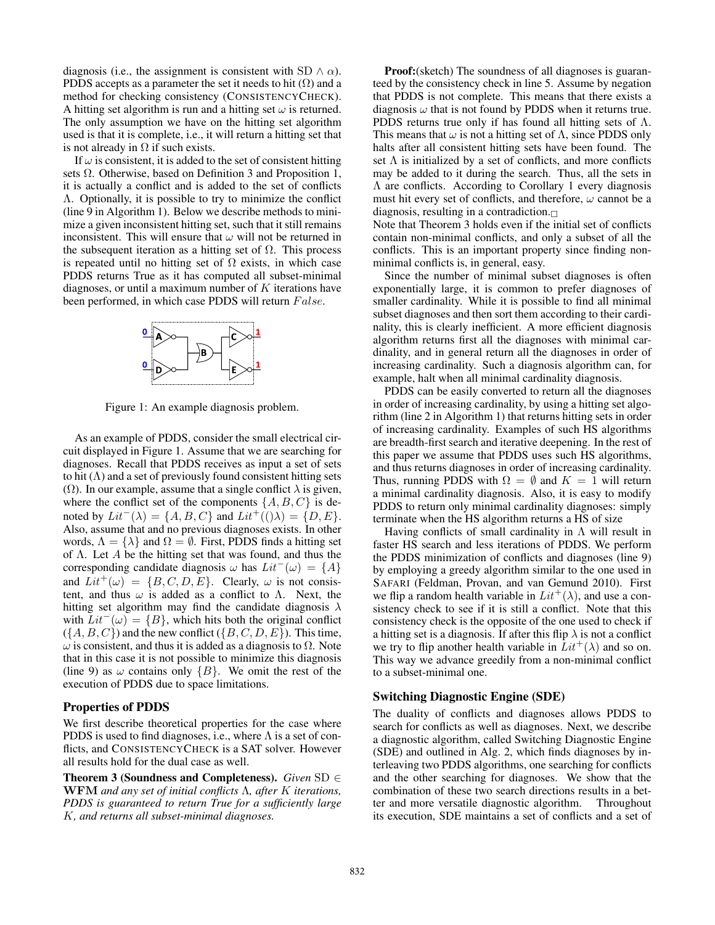diagnosis (i.e., the assignment is consistent with SD  $\land \alpha$ ). PDDS accepts as a parameter the set it needs to hit  $(Ω)$  and a method for checking consistency (CONSISTENCYCHECK). A hitting set algorithm is run and a hitting set  $\omega$  is returned. The only assumption we have on the hitting set algorithm used is that it is complete, i.e., it will return a hitting set that is not already in  $\Omega$  if such exists.

If  $\omega$  is consistent, it is added to the set of consistent hitting sets  $\Omega$ . Otherwise, based on Definition 3 and Proposition 1, it is actually a conflict and is added to the set of conflicts Λ. Optionally, it is possible to try to minimize the conflict (line 9 in Algorithm 1). Below we describe methods to minimize a given inconsistent hitting set, such that it still remains inconsistent. This will ensure that  $\omega$  will not be returned in the subsequent iteration as a hitting set of  $\Omega$ . This process is repeated until no hitting set of  $\Omega$  exists, in which case PDDS returns True as it has computed all subset-minimal diagnoses, or until a maximum number of  $K$  iterations have been performed, in which case PDDS will return False.



Figure 1: An example diagnosis problem.

As an example of PDDS, consider the small electrical circuit displayed in Figure 1. Assume that we are searching for diagnoses. Recall that PDDS receives as input a set of sets to hit  $(Λ)$  and a set of previously found consistent hitting sets ( $\Omega$ ). In our example, assume that a single conflict  $\lambda$  is given, where the conflict set of the components  $\{A, B, C\}$  is denoted by  $Lit^{-}(\lambda) = \{A, B, C\}$  and  $Lit^{+}((\lambda) = \{D, E\}.$ Also, assume that and no previous diagnoses exists. In other words,  $\Lambda = {\lambda}$  and  $\Omega = \emptyset$ . First, PDDS finds a hitting set of  $\Lambda$ . Let A be the hitting set that was found, and thus the corresponding candidate diagnosis  $\omega$  has  $Lit^{-}(\omega) = \{A\}$ and  $Lit^+(\omega) = \{B, C, D, E\}$ . Clearly,  $\omega$  is not consistent, and thus  $\omega$  is added as a conflict to  $\Lambda$ . Next, the hitting set algorithm may find the candidate diagnosis  $\lambda$ with  $Lit<sup>-</sup>(\omega) = {B}$ , which hits both the original conflict  $({A, B, C})$  and the new conflict  $({B, C, D, E})$ . This time,  $\omega$  is consistent, and thus it is added as a diagnosis to  $\Omega$ . Note that in this case it is not possible to minimize this diagnosis (line 9) as  $\omega$  contains only  $\{B\}$ . We omit the rest of the execution of PDDS due to space limitations.

### Properties of PDDS

We first describe theoretical properties for the case where PDDS is used to find diagnoses, i.e., where  $\Lambda$  is a set of conflicts, and CONSISTENCYCHECK is a SAT solver. However all results hold for the dual case as well.

Theorem 3 (Soundness and Completeness). *Given* SD ∈ WFM *and any set of initial conflicts* Λ*, after* K *iterations, PDDS is guaranteed to return True for a sufficiently large* K*, and returns all subset-minimal diagnoses.*

**Proof:**(sketch) The soundness of all diagnoses is guaranteed by the consistency check in line 5. Assume by negation that PDDS is not complete. This means that there exists a diagnosis  $\omega$  that is not found by PDDS when it returns true. PDDS returns true only if has found all hitting sets of  $\Lambda$ . This means that  $\omega$  is not a hitting set of  $\Lambda$ , since PDDS only halts after all consistent hitting sets have been found. The set  $\Lambda$  is initialized by a set of conflicts, and more conflicts may be added to it during the search. Thus, all the sets in Λ are conflicts. According to Corollary 1 every diagnosis must hit every set of conflicts, and therefore,  $\omega$  cannot be a diagnosis, resulting in a contradiction. $\Box$ 

Note that Theorem 3 holds even if the initial set of conflicts contain non-minimal conflicts, and only a subset of all the conflicts. This is an important property since finding nonminimal conflicts is, in general, easy.

Since the number of minimal subset diagnoses is often exponentially large, it is common to prefer diagnoses of smaller cardinality. While it is possible to find all minimal subset diagnoses and then sort them according to their cardinality, this is clearly inefficient. A more efficient diagnosis algorithm returns first all the diagnoses with minimal cardinality, and in general return all the diagnoses in order of increasing cardinality. Such a diagnosis algorithm can, for example, halt when all minimal cardinality diagnosis.

PDDS can be easily converted to return all the diagnoses in order of increasing cardinality, by using a hitting set algorithm (line 2 in Algorithm 1) that returns hitting sets in order of increasing cardinality. Examples of such HS algorithms are breadth-first search and iterative deepening. In the rest of this paper we assume that PDDS uses such HS algorithms, and thus returns diagnoses in order of increasing cardinality. Thus, running PDDS with  $\Omega = \emptyset$  and  $K = 1$  will return a minimal cardinality diagnosis. Also, it is easy to modify PDDS to return only minimal cardinality diagnoses: simply terminate when the HS algorithm returns a HS of size

Having conflicts of small cardinality in  $\Lambda$  will result in faster HS search and less iterations of PDDS. We perform the PDDS minimization of conflicts and diagnoses (line 9) by employing a greedy algorithm similar to the one used in SAFARI (Feldman, Provan, and van Gemund 2010). First we flip a random health variable in  $Lit^+(\lambda)$ , and use a consistency check to see if it is still a conflict. Note that this consistency check is the opposite of the one used to check if a hitting set is a diagnosis. If after this flip  $\lambda$  is not a conflict we try to flip another health variable in  $Lit^+(\lambda)$  and so on. This way we advance greedily from a non-minimal conflict to a subset-minimal one.

## Switching Diagnostic Engine (SDE)

The duality of conflicts and diagnoses allows PDDS to search for conflicts as well as diagnoses. Next, we describe a diagnostic algorithm, called Switching Diagnostic Engine (SDE) and outlined in Alg. 2, which finds diagnoses by interleaving two PDDS algorithms, one searching for conflicts and the other searching for diagnoses. We show that the combination of these two search directions results in a better and more versatile diagnostic algorithm. Throughout its execution, SDE maintains a set of conflicts and a set of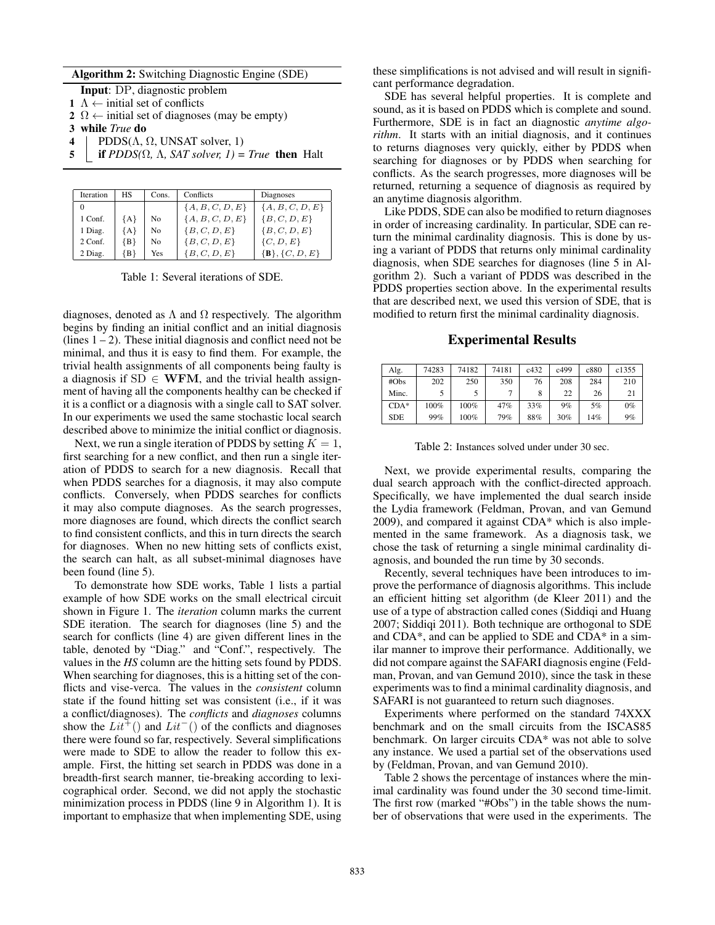#### Algorithm 2: Switching Diagnostic Engine (SDE)

- Input: DP, diagnostic problem
- 1  $\Lambda \leftarrow$  initial set of conflicts
- 2  $\Omega \leftarrow$  initial set of diagnoses (may be empty)
- 3 while *True* do
- 4 | PDDS( $\Lambda$ ,  $\Omega$ , UNSAT solver, 1)
- 5 **if PDDS(** $\Omega$ **,**  $\Lambda$ **, SAT solver, 1)** = True **then** Halt

| Iteration | HS    | Cons.          | Conflicts         | Diagnoses         |  |  |
|-----------|-------|----------------|-------------------|-------------------|--|--|
|           |       |                | ${A, B, C, D, E}$ | ${A, B, C, D, E}$ |  |  |
| 1 Conf.   | ${A}$ | No             | ${A, B, C, D, E}$ | ${B, C, D, E}$    |  |  |
| 1 Diag.   | ${A}$ | N <sub>0</sub> | ${B, C, D, E}$    | ${B, C, D, E}$    |  |  |
| 2 Conf.   | ${B}$ | N <sub>0</sub> | ${B, C, D, E}$    | $\{C, D, E\}$     |  |  |
| 2 Diag.   | {B}   | Yes            | ${B, C, D, E}$    | ${B}, {C, D, E}$  |  |  |

Table 1: Several iterations of SDE.

diagnoses, denoted as  $\Lambda$  and  $\Omega$  respectively. The algorithm begins by finding an initial conflict and an initial diagnosis  $($ lines  $1 – 2)$ . These initial diagnosis and conflict need not be minimal, and thus it is easy to find them. For example, the trivial health assignments of all components being faulty is a diagnosis if  $SD \in WFM$ , and the trivial health assignment of having all the components healthy can be checked if it is a conflict or a diagnosis with a single call to SAT solver. In our experiments we used the same stochastic local search described above to minimize the initial conflict or diagnosis.

Next, we run a single iteration of PDDS by setting  $K = 1$ , first searching for a new conflict, and then run a single iteration of PDDS to search for a new diagnosis. Recall that when PDDS searches for a diagnosis, it may also compute conflicts. Conversely, when PDDS searches for conflicts it may also compute diagnoses. As the search progresses, more diagnoses are found, which directs the conflict search to find consistent conflicts, and this in turn directs the search for diagnoses. When no new hitting sets of conflicts exist, the search can halt, as all subset-minimal diagnoses have been found (line 5).

To demonstrate how SDE works, Table 1 lists a partial example of how SDE works on the small electrical circuit shown in Figure 1. The *iteration* column marks the current SDE iteration. The search for diagnoses (line 5) and the search for conflicts (line 4) are given different lines in the table, denoted by "Diag." and "Conf.", respectively. The values in the *HS* column are the hitting sets found by PDDS. When searching for diagnoses, this is a hitting set of the conflicts and vise-verca. The values in the *consistent* column state if the found hitting set was consistent (i.e., if it was a conflict/diagnoses). The *conflicts* and *diagnoses* columns show the  $Lit^+()$  and  $Lit^-()$  of the conflicts and diagnoses there were found so far, respectively. Several simplifications were made to SDE to allow the reader to follow this example. First, the hitting set search in PDDS was done in a breadth-first search manner, tie-breaking according to lexicographical order. Second, we did not apply the stochastic minimization process in PDDS (line 9 in Algorithm 1). It is important to emphasize that when implementing SDE, using

these simplifications is not advised and will result in significant performance degradation.

SDE has several helpful properties. It is complete and sound, as it is based on PDDS which is complete and sound. Furthermore, SDE is in fact an diagnostic *anytime algorithm*. It starts with an initial diagnosis, and it continues to returns diagnoses very quickly, either by PDDS when searching for diagnoses or by PDDS when searching for conflicts. As the search progresses, more diagnoses will be returned, returning a sequence of diagnosis as required by an anytime diagnosis algorithm.

Like PDDS, SDE can also be modified to return diagnoses in order of increasing cardinality. In particular, SDE can return the minimal cardinality diagnosis. This is done by using a variant of PDDS that returns only minimal cardinality diagnosis, when SDE searches for diagnoses (line 5 in Algorithm 2). Such a variant of PDDS was described in the PDDS properties section above. In the experimental results that are described next, we used this version of SDE, that is modified to return first the minimal cardinality diagnosis.

Experimental Results

| Alg.       | 74283 | 74182 | 74181 | c432 | c499 | c880 | c1355 |
|------------|-------|-------|-------|------|------|------|-------|
| #Obs       | 202   | 250   | 350   | 76   | 208  | 284  | 210   |
| Minc.      |       |       |       | 8    | 22   | 26   | 21    |
| $CDA*$     | 100%  | 100%  | 47%   | 33%  | 9%   | 5%   | $0\%$ |
| <b>SDE</b> | 99%   | 100%  | 79%   | 88%  | 30%  | 14%  | 9%    |

Table 2: Instances solved under under 30 sec.

Next, we provide experimental results, comparing the dual search approach with the conflict-directed approach. Specifically, we have implemented the dual search inside the Lydia framework (Feldman, Provan, and van Gemund 2009), and compared it against CDA\* which is also implemented in the same framework. As a diagnosis task, we chose the task of returning a single minimal cardinality diagnosis, and bounded the run time by 30 seconds.

Recently, several techniques have been introduces to improve the performance of diagnosis algorithms. This include an efficient hitting set algorithm (de Kleer 2011) and the use of a type of abstraction called cones (Siddiqi and Huang 2007; Siddiqi 2011). Both technique are orthogonal to SDE and CDA\*, and can be applied to SDE and CDA\* in a similar manner to improve their performance. Additionally, we did not compare against the SAFARI diagnosis engine (Feldman, Provan, and van Gemund 2010), since the task in these experiments was to find a minimal cardinality diagnosis, and SAFARI is not guaranteed to return such diagnoses.

Experiments where performed on the standard 74XXX benchmark and on the small circuits from the ISCAS85 benchmark. On larger circuits CDA\* was not able to solve any instance. We used a partial set of the observations used by (Feldman, Provan, and van Gemund 2010).

Table 2 shows the percentage of instances where the minimal cardinality was found under the 30 second time-limit. The first row (marked "#Obs") in the table shows the number of observations that were used in the experiments. The